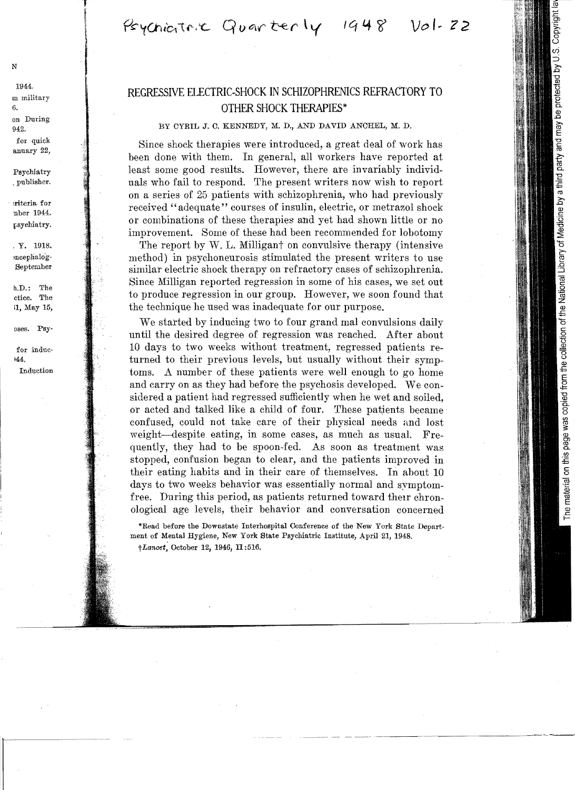Psychiatric Quarterly 1948 Vol. 22

# REGRESSIVE ELECTRIC-SHOCK IN SCHIZOPHRENICS REFRACTORY TO OTHER SHOCK THERAPIES\*

### BY CYRIL 3. C. KENNEDY, M. D., AND DAVID ANCHEL, M. D.

Since shock therapies were introduced, a great deal of work has been done with them. In general, all workers have reported at least some good results. However, there are invariably individuals who fail to respond. The present writers now wish to report on a series of 25 patients with schizophrenia, who had previously received "adequate" courses of insulin, electric, or metrazol shock or combinations of these therapies and yet had shown little or no improvement. Some of these had been recommended for lobotomy

The report by  $W$ . L. Milligant on convulsive therapy (intensive method) in psychoneurosis stimulated the present writers to use similar electric shock therapy on refractory cases of schizophrenia. Since Milligan reported regression in some of his cases, we set out to produce regression in our group. However, we soon found that the technique he used was inadequate for our purpose.

We started by inducing two to four grand mal convulsions daily until the desired degree of regression was reached. After about 10 days to two weeks without treatment, regressed patients returned to their previous levels, but usually without their symptoms. A number of these patients were well enough to go home and carryon as they had before the psychosis developed. We considered a patient had regressed sufficiently when he wet and soiled, or acted and talked like a child of four. These patjents became confused, could not take care of their physical needs and lost weight-despite eating, in some cases, as much as usual. Frequently, they had to be spoon-fed. As soon as treatment was stopped, confusion began to clear, and the patients improved in their eating habits and in their care of themselves. In about  $10$ days to two weeks behavior was essentially normal and symptomfree. During this period, as patients returned toward their chronological age levels, their behavior and conversation concerned

\*Read before the Downstate Interhospital Conference of the New York State Department of Mental Hygiene, New York State Psychiatric Institute, April 21, 1948.

t *Lanoet,* October 12, 1946, II :516,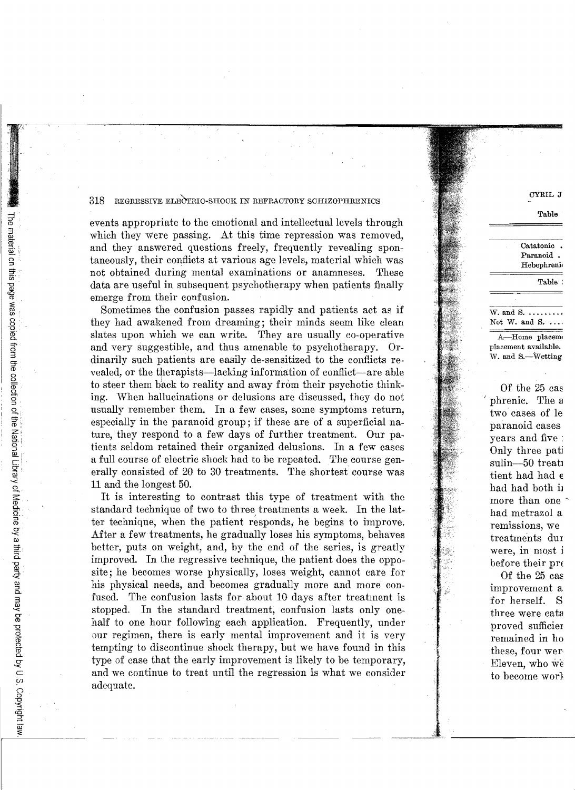events appropriate to the emotional and intellectual levels through which they were passing. At this time repression was removed. and they answered questions freely, frequently revealing spontaneously, their conflicts at various age levels, material which was not obtained during mental examinations or anamneses. These data are useful in subsequent psychotherapy when patients finally emerge from their confusion.

Sometimes the confusion passes rapidly and patients act as if they had awakened from dreaming; their minds seem like clean slates upon which we can write. They are usually co-operative and very suggestible, and thus amenable to psychotherapy. Ordinarily such patients are easily de-sensitized to the conflicts revealed, or the therapists-lacking information of conflict-are able to steer them back to reality and away from their psychotic thinking. When hallucinations or delusions are discussed, they do not usually remember them. In a few cases, some symptoms return, especially in the paranoid group; if these are of a superficial nature, they respond to a few days of further treatment. Our patients seldom retained their organized delusions. In a few cases a full course of electric shock had to be repeated. The course generally consisted of 20 to 30 treatments. The shortest course was 11 and the longest 50.

It is interesting to contrast this type of treatment with the standard technique of two to three treatments a week. In the latter technique, when the patient responds, he begins to improve. After a few treatments, he gradually loses his symptoms, behaves better, puts on weight, and, by the end of the series, is greatly improved. In the regressive technique, the patient does the opposite; he becomes worse physically, loses weight, cannot care for his physical needs, and becomes gradually more and more confused. The confusion lasts for about 10 days after treatment is stopped. In the standard treatment, confusion lasts only onehalf to one hour following each application. Frequently, under our regimen, there is early mental improvement and it is very tempting to discontinue shock therapy, but we have found in this type of case that the early improvement is likely to be temporary, and we continue to treat until the regression is what we consider adequate.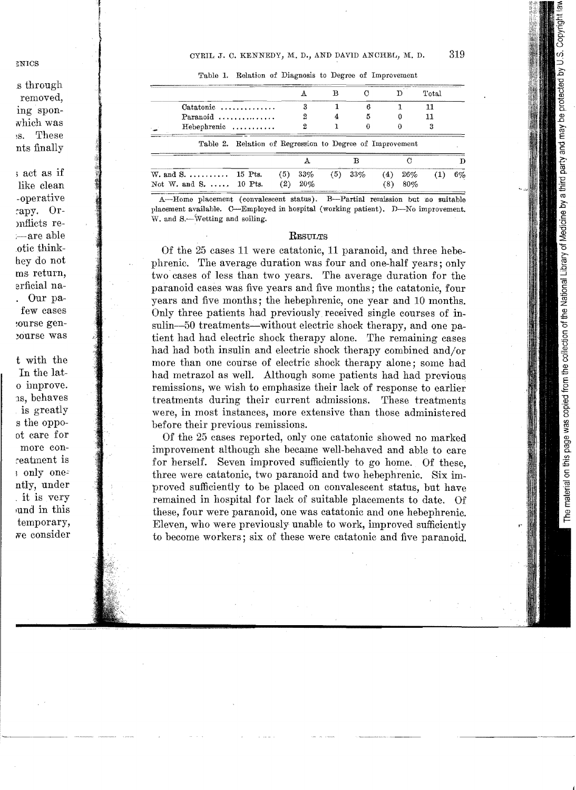|                                             |                                                          |     |     |            |     |     | Total |       |
|---------------------------------------------|----------------------------------------------------------|-----|-----|------------|-----|-----|-------|-------|
| $\alpha$                                    |                                                          |     |     |            |     |     |       |       |
| Paranoid $\ldots \ldots \ldots \ldots$      |                                                          |     |     |            |     |     |       |       |
| Hebephrenic                                 |                                                          |     |     |            |     |     |       |       |
|                                             | Table 2. Relation of Regression to Degree of Improvement |     |     |            |     |     |       |       |
|                                             |                                                          |     |     |            |     |     |       |       |
| W. and S. $\dots \dots \dots \dots$ 15 Pts. |                                                          | (5) | 33% | $(5)$ 33\% | (4) | 26% |       | $6\%$ |
| Not W. and S.  10 Pts.                      |                                                          | (2) | 20% |            |     | 80% |       |       |

Table 1. Relation of Diagnosis to Degree of Improvement

A-Home placement (convalescent status). B-Partial remission but no suitable placement available. C-Employed in hospital (working patient). D-No improvement. W. and S.—Wetting and soiling.

#### **RESULTS**

Of the 25 cases 11 were catatonic, 11 paranoid, and three hebephrenic. The average duration was four and one-half years; only two cases of less than two years. The average duration for the paranoid cases was five years and five months; the catatonic, four years and five months; the hebephrenic, one year and 10 months. Only three patients had previously received single courses of insulin-50 treatments-without electric shock therapy, and one patient had had electric shock therapy alone. The remaining cases had had both insulin and electric shock therapy combined and/or more than one course of electric shock therapy alone; some had had metrazol as well. Although some patients had had previous remissions, we wish to emphasize their lack of response to earlier treatments during their current admissions. These treatments were, in most instances, more extensive than those administered before their previous remissions.

Of the 25 cases reported, only one catatonic showed no marked improvement although she became well-behaved and able to care for herself. Seven improved sufficiently to go home. Of these, three were catatonic, two paranoid and two hebephrenic. Six improved sufficiently to be placed on convalescent status, but have remained in hospital for lack of suitable placements to date. Of these, four were paranoid, one was catatonic and one hebephrenic. Eleven, who were previously unable to work, improved sufficiently to become workers; six of these were catatonic and five paranoid.